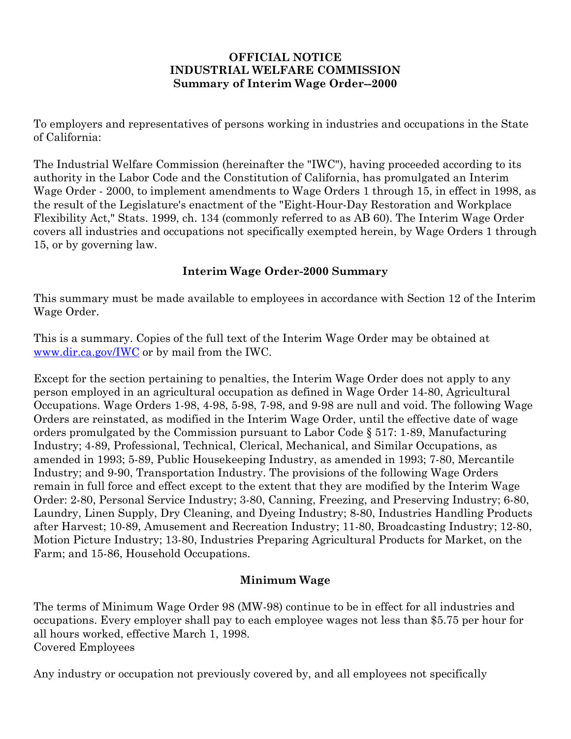#### **OFFICIAL NOTICE INDUSTRIAL WELFARE COMMISSION Summary of Interim Wage Order--2000**

To employers and representatives of persons working in industries and occupations in the State of California:

The Industrial Welfare Commission (hereinafter the "IWC"), having proceeded according to its authority in the Labor Code and the Constitution of California, has promulgated an Interim Wage Order - 2000, to implement amendments to Wage Orders 1 through 15, in effect in 1998, as the result of the Legislature's enactment of the "Eight-Hour-Day Restoration and Workplace Flexibility Act," Stats. 1999, ch. 134 (commonly referred to as AB 60). The Interim Wage Order covers all industries and occupations not specifically exempted herein, by Wage Orders 1 through 15, or by governing law.

## **Interim Wage Order-2000 Summary**

This summary must be made available to employees in accordance with Section 12 of the Interim Wage Order.

This is a summary. Copies of the full text of the Interim Wage Order may be obtained at [www.dir.ca.gov/IWC](https://www.dir.ca.gov/IWC) or by mail from the IWC.

Except for the section pertaining to penalties, the Interim Wage Order does not apply to any person employed in an agricultural occupation as defined in Wage Order 14-80, Agricultural Occupations. Wage Orders 1-98, 4-98, 5-98, 7-98, and 9-98 are null and void. The following Wage Orders are reinstated, as modified in the Interim Wage Order, until the effective date of wage orders promulgated by the Commission pursuant to Labor Code § 517: 1-89, Manufacturing Industry; 4-89, Professional, Technical, Clerical, Mechanical, and Similar Occupations, as amended in 1993; 5-89, Public Housekeeping Industry, as amended in 1993; 7-80, Mercantile Industry; and 9-90, Transportation Industry. The provisions of the following Wage Orders remain in full force and effect except to the extent that they are modified by the Interim Wage Order: 2-80, Personal Service Industry; 3-80, Canning, Freezing, and Preserving Industry; 6-80, Laundry, Linen Supply, Dry Cleaning, and Dyeing Industry; 8-80, Industries Handling Products after Harvest; 10-89, Amusement and Recreation Industry; 11-80, Broadcasting Industry; 12-80, Motion Picture Industry; 13-80, Industries Preparing Agricultural Products for Market, on the Farm; and 15-86, Household Occupations.

## **Minimum Wage**

The terms of Minimum Wage Order 98 (MW-98) continue to be in effect for all industries and occupations. Every employer shall pay to each employee wages not less than \$5.75 per hour for all hours worked, effective March 1, 1998. Covered Employees

Any industry or occupation not previously covered by, and all employees not specifically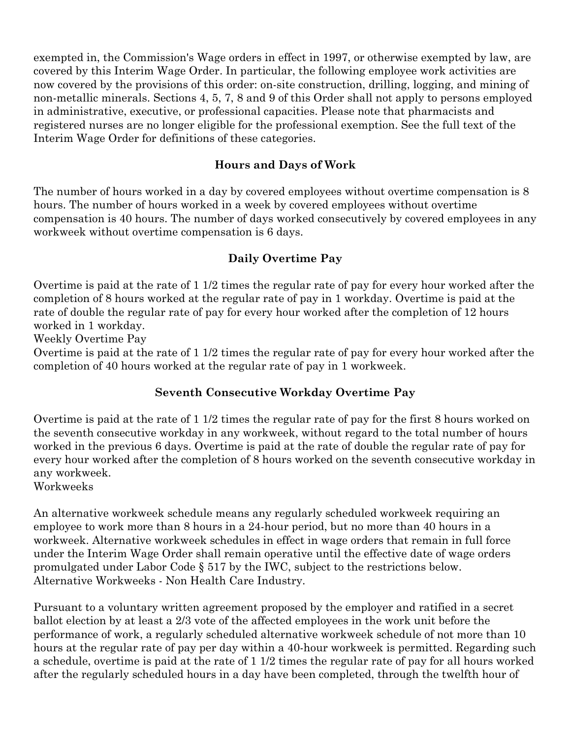exempted in, the Commission's Wage orders in effect in 1997, or otherwise exempted by law, are covered by this Interim Wage Order. In particular, the following employee work activities are now covered by the provisions of this order: on-site construction, drilling, logging, and mining of non-metallic minerals. Sections 4, 5, 7, 8 and 9 of this Order shall not apply to persons employed in administrative, executive, or professional capacities. Please note that pharmacists and registered nurses are no longer eligible for the professional exemption. See the full text of the Interim Wage Order for definitions of these categories.

#### **Hours and Days of Work**

The number of hours worked in a day by covered employees without overtime compensation is 8 hours. The number of hours worked in a week by covered employees without overtime compensation is 40 hours. The number of days worked consecutively by covered employees in any workweek without overtime compensation is 6 days.

#### **Daily Overtime Pay**

Overtime is paid at the rate of 1 1/2 times the regular rate of pay for every hour worked after the completion of 8 hours worked at the regular rate of pay in 1 workday. Overtime is paid at the rate of double the regular rate of pay for every hour worked after the completion of 12 hours worked in 1 workday.

Weekly Overtime Pay

Overtime is paid at the rate of 1 1/2 times the regular rate of pay for every hour worked after the completion of 40 hours worked at the regular rate of pay in 1 workweek.

#### **Seventh Consecutive Workday Overtime Pay**

Overtime is paid at the rate of 1 1/2 times the regular rate of pay for the first 8 hours worked on the seventh consecutive workday in any workweek, without regard to the total number of hours worked in the previous 6 days. Overtime is paid at the rate of double the regular rate of pay for every hour worked after the completion of 8 hours worked on the seventh consecutive workday in any workweek.

Workweeks

An alternative workweek schedule means any regularly scheduled workweek requiring an employee to work more than 8 hours in a 24-hour period, but no more than 40 hours in a workweek. Alternative workweek schedules in effect in wage orders that remain in full force under the Interim Wage Order shall remain operative until the effective date of wage orders promulgated under Labor Code § 517 by the IWC, subject to the restrictions below. Alternative Workweeks - Non Health Care Industry.

Pursuant to a voluntary written agreement proposed by the employer and ratified in a secret ballot election by at least a 2/3 vote of the affected employees in the work unit before the performance of work, a regularly scheduled alternative workweek schedule of not more than 10 hours at the regular rate of pay per day within a 40-hour workweek is permitted. Regarding such a schedule, overtime is paid at the rate of 1 1/2 times the regular rate of pay for all hours worked after the regularly scheduled hours in a day have been completed, through the twelfth hour of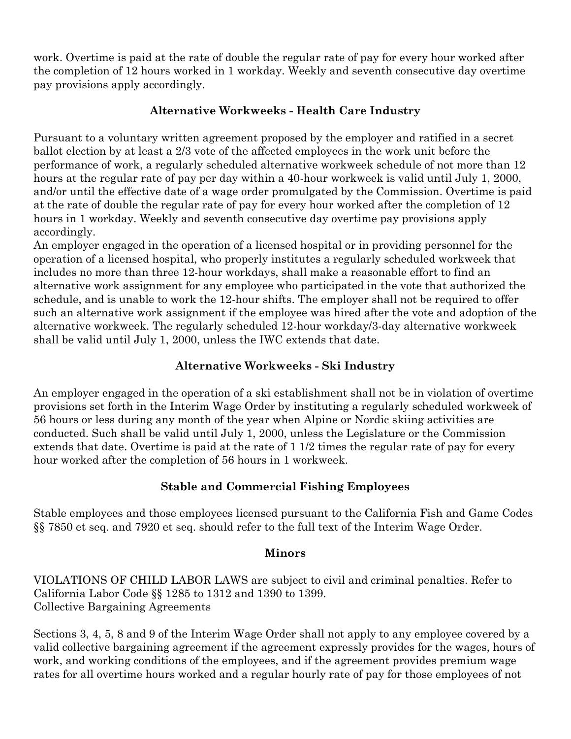work. Overtime is paid at the rate of double the regular rate of pay for every hour worked after the completion of 12 hours worked in 1 workday. Weekly and seventh consecutive day overtime pay provisions apply accordingly.

#### **Alternative Workweeks - Health Care Industry**

Pursuant to a voluntary written agreement proposed by the employer and ratified in a secret ballot election by at least a 2/3 vote of the affected employees in the work unit before the performance of work, a regularly scheduled alternative workweek schedule of not more than 12 hours at the regular rate of pay per day within a 40-hour workweek is valid until July 1, 2000, and/or until the effective date of a wage order promulgated by the Commission. Overtime is paid at the rate of double the regular rate of pay for every hour worked after the completion of 12 hours in 1 workday. Weekly and seventh consecutive day overtime pay provisions apply accordingly.

An employer engaged in the operation of a licensed hospital or in providing personnel for the operation of a licensed hospital, who properly institutes a regularly scheduled workweek that includes no more than three 12-hour workdays, shall make a reasonable effort to find an alternative work assignment for any employee who participated in the vote that authorized the schedule, and is unable to work the 12-hour shifts. The employer shall not be required to offer such an alternative work assignment if the employee was hired after the vote and adoption of the alternative workweek. The regularly scheduled 12-hour workday/3-day alternative workweek shall be valid until July 1, 2000, unless the IWC extends that date.

#### **Alternative Workweeks - Ski Industry**

An employer engaged in the operation of a ski establishment shall not be in violation of overtime provisions set forth in the Interim Wage Order by instituting a regularly scheduled workweek of 56 hours or less during any month of the year when Alpine or Nordic skiing activities are conducted. Such shall be valid until July 1, 2000, unless the Legislature or the Commission extends that date. Overtime is paid at the rate of 1 1/2 times the regular rate of pay for every hour worked after the completion of 56 hours in 1 workweek.

#### **Stable and Commercial Fishing Employees**

Stable employees and those employees licensed pursuant to the California Fish and Game Codes §§ 7850 et seq. and 7920 et seq. should refer to the full text of the Interim Wage Order.

#### **Minors**

VIOLATIONS OF CHILD LABOR LAWS are subject to civil and criminal penalties. Refer to California Labor Code §§ 1285 to 1312 and 1390 to 1399. Collective Bargaining Agreements

Sections 3, 4, 5, 8 and 9 of the Interim Wage Order shall not apply to any employee covered by a valid collective bargaining agreement if the agreement expressly provides for the wages, hours of work, and working conditions of the employees, and if the agreement provides premium wage rates for all overtime hours worked and a regular hourly rate of pay for those employees of not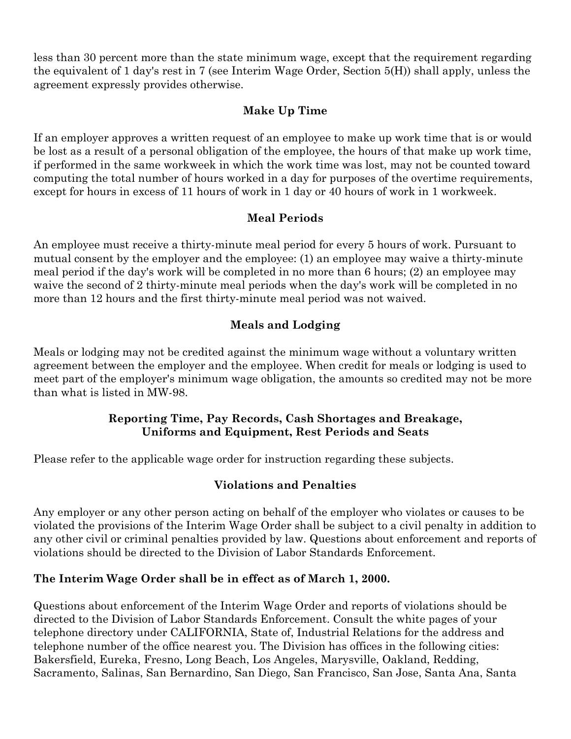less than 30 percent more than the state minimum wage, except that the requirement regarding the equivalent of 1 day's rest in 7 (see Interim Wage Order, Section 5(H)) shall apply, unless the agreement expressly provides otherwise.

#### **Make Up Time**

If an employer approves a written request of an employee to make up work time that is or would be lost as a result of a personal obligation of the employee, the hours of that make up work time, if performed in the same workweek in which the work time was lost, may not be counted toward computing the total number of hours worked in a day for purposes of the overtime requirements, except for hours in excess of 11 hours of work in 1 day or 40 hours of work in 1 workweek.

#### **Meal Periods**

An employee must receive a thirty-minute meal period for every 5 hours of work. Pursuant to mutual consent by the employer and the employee: (1) an employee may waive a thirty-minute meal period if the day's work will be completed in no more than 6 hours; (2) an employee may waive the second of 2 thirty-minute meal periods when the day's work will be completed in no more than 12 hours and the first thirty-minute meal period was not waived.

## **Meals and Lodging**

Meals or lodging may not be credited against the minimum wage without a voluntary written agreement between the employer and the employee. When credit for meals or lodging is used to meet part of the employer's minimum wage obligation, the amounts so credited may not be more than what is listed in MW-98.

#### **Reporting Time, Pay Records, Cash Shortages and Breakage, Uniforms and Equipment, Rest Periods and Seats**

Please refer to the applicable wage order for instruction regarding these subjects.

## **Violations and Penalties**

Any employer or any other person acting on behalf of the employer who violates or causes to be violated the provisions of the Interim Wage Order shall be subject to a civil penalty in addition to any other civil or criminal penalties provided by law. Questions about enforcement and reports of violations should be directed to the Division of Labor Standards Enforcement.

## **The Interim Wage Order shall be in effect as of March 1, 2000.**

Questions about enforcement of the Interim Wage Order and reports of violations should be directed to the Division of Labor Standards Enforcement. Consult the white pages of your telephone directory under CALIFORNIA, State of, Industrial Relations for the address and telephone number of the office nearest you. The Division has offices in the following cities: Bakersfield, Eureka, Fresno, Long Beach, Los Angeles, Marysville, Oakland, Redding, Sacramento, Salinas, San Bernardino, San Diego, San Francisco, San Jose, Santa Ana, Santa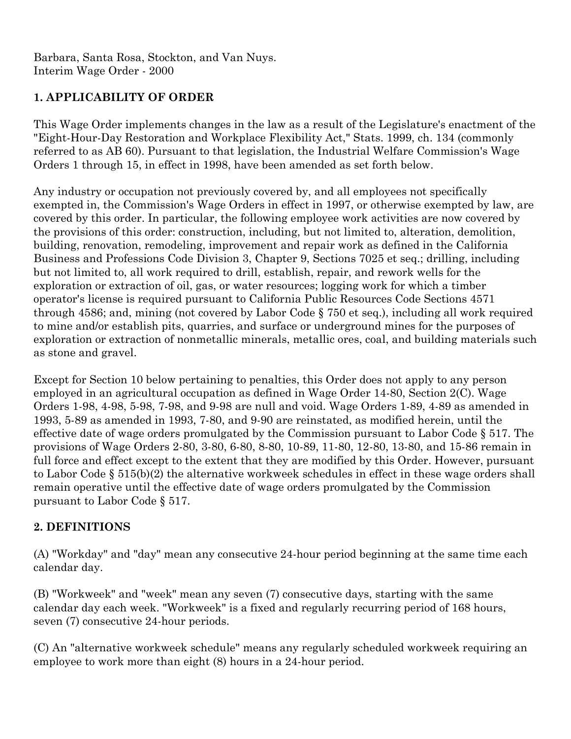Barbara, Santa Rosa, Stockton, and Van Nuys. Interim Wage Order - 2000

## **1. APPLICABILITY OF ORDER**

This Wage Order implements changes in the law as a result of the Legislature's enactment of the "Eight-Hour-Day Restoration and Workplace Flexibility Act," Stats. 1999, ch. 134 (commonly referred to as AB 60). Pursuant to that legislation, the Industrial Welfare Commission's Wage Orders 1 through 15, in effect in 1998, have been amended as set forth below.

Any industry or occupation not previously covered by, and all employees not specifically exempted in, the Commission's Wage Orders in effect in 1997, or otherwise exempted by law, are covered by this order. In particular, the following employee work activities are now covered by the provisions of this order: construction, including, but not limited to, alteration, demolition, building, renovation, remodeling, improvement and repair work as defined in the California Business and Professions Code Division 3, Chapter 9, Sections 7025 et seq.; drilling, including but not limited to, all work required to drill, establish, repair, and rework wells for the exploration or extraction of oil, gas, or water resources; logging work for which a timber operator's license is required pursuant to California Public Resources Code Sections 4571 through 4586; and, mining (not covered by Labor Code § 750 et seq.), including all work required to mine and/or establish pits, quarries, and surface or underground mines for the purposes of exploration or extraction of nonmetallic minerals, metallic ores, coal, and building materials such as stone and gravel.

Except for Section 10 below pertaining to penalties, this Order does not apply to any person employed in an agricultural occupation as defined in Wage Order 14-80, Section 2(C). Wage Orders 1-98, 4-98, 5-98, 7-98, and 9-98 are null and void. Wage Orders 1-89, 4-89 as amended in 1993, 5-89 as amended in 1993, 7-80, and 9-90 are reinstated, as modified herein, until the effective date of wage orders promulgated by the Commission pursuant to Labor Code § 517. The provisions of Wage Orders 2-80, 3-80, 6-80, 8-80, 10-89, 11-80, 12-80, 13-80, and 15-86 remain in full force and effect except to the extent that they are modified by this Order. However, pursuant to Labor Code § 515(b)(2) the alternative workweek schedules in effect in these wage orders shall remain operative until the effective date of wage orders promulgated by the Commission pursuant to Labor Code § 517.

#### **2. DEFINITIONS**

(A) "Workday" and "day" mean any consecutive 24-hour period beginning at the same time each calendar day.

(B) "Workweek" and "week" mean any seven (7) consecutive days, starting with the same calendar day each week. "Workweek" is a fixed and regularly recurring period of 168 hours, seven (7) consecutive 24-hour periods.

(C) An "alternative workweek schedule" means any regularly scheduled workweek requiring an employee to work more than eight (8) hours in a 24-hour period.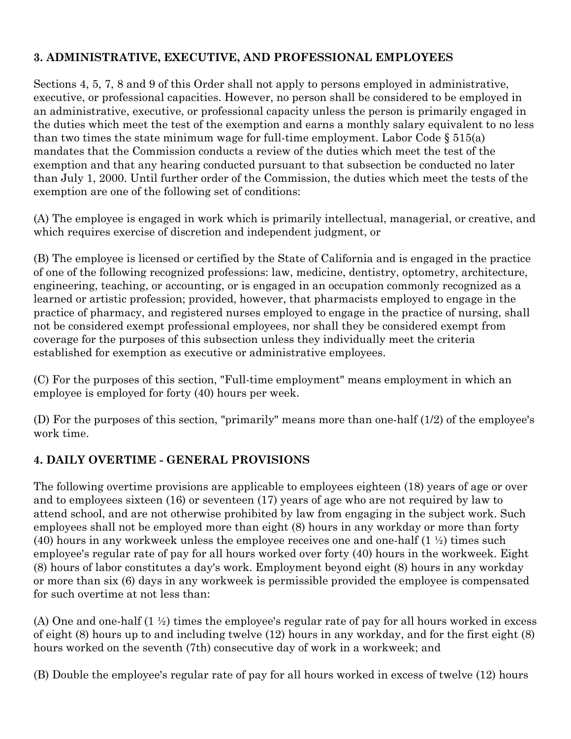## **3. ADMINISTRATIVE, EXECUTIVE, AND PROFESSIONAL EMPLOYEES**

Sections 4, 5, 7, 8 and 9 of this Order shall not apply to persons employed in administrative, executive, or professional capacities. However, no person shall be considered to be employed in an administrative, executive, or professional capacity unless the person is primarily engaged in the duties which meet the test of the exemption and earns a monthly salary equivalent to no less than two times the state minimum wage for full-time employment. Labor Code  $\S 515(a)$ mandates that the Commission conducts a review of the duties which meet the test of the exemption and that any hearing conducted pursuant to that subsection be conducted no later than July 1, 2000. Until further order of the Commission, the duties which meet the tests of the exemption are one of the following set of conditions:

(A) The employee is engaged in work which is primarily intellectual, managerial, or creative, and which requires exercise of discretion and independent judgment, or

(B) The employee is licensed or certified by the State of California and is engaged in the practice of one of the following recognized professions: law, medicine, dentistry, optometry, architecture, engineering, teaching, or accounting, or is engaged in an occupation commonly recognized as a learned or artistic profession; provided, however, that pharmacists employed to engage in the practice of pharmacy, and registered nurses employed to engage in the practice of nursing, shall not be considered exempt professional employees, nor shall they be considered exempt from coverage for the purposes of this subsection unless they individually meet the criteria established for exemption as executive or administrative employees.

(C) For the purposes of this section, "Full-time employment" means employment in which an employee is employed for forty (40) hours per week.

(D) For the purposes of this section, "primarily" means more than one-half (1/2) of the employee's work time.

## **4. DAILY OVERTIME - GENERAL PROVISIONS**

The following overtime provisions are applicable to employees eighteen (18) years of age or over and to employees sixteen (16) or seventeen (17) years of age who are not required by law to attend school, and are not otherwise prohibited by law from engaging in the subject work. Such employees shall not be employed more than eight (8) hours in any workday or more than forty (40) hours in any workweek unless the employee receives one and one-half  $(1 \frac{1}{2})$  times such employee's regular rate of pay for all hours worked over forty (40) hours in the workweek. Eight (8) hours of labor constitutes a day's work. Employment beyond eight (8) hours in any workday or more than six (6) days in any workweek is permissible provided the employee is compensated for such overtime at not less than:

(A) One and one-half (1 ½) times the employee's regular rate of pay for all hours worked in excess of eight (8) hours up to and including twelve (12) hours in any workday, and for the first eight (8) hours worked on the seventh (7th) consecutive day of work in a workweek; and

(B) Double the employee's regular rate of pay for all hours worked in excess of twelve (12) hours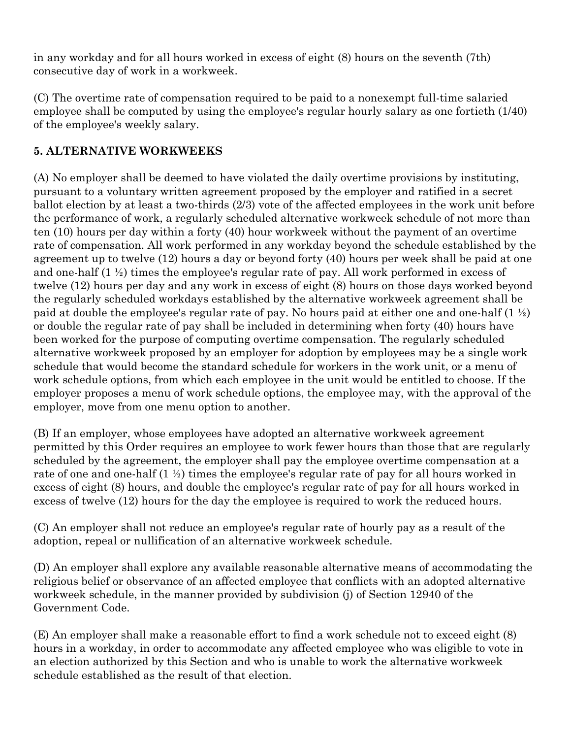in any workday and for all hours worked in excess of eight (8) hours on the seventh (7th) consecutive day of work in a workweek.

(C) The overtime rate of compensation required to be paid to a nonexempt full-time salaried employee shall be computed by using the employee's regular hourly salary as one fortieth (1/40) of the employee's weekly salary.

# **5. ALTERNATIVE WORKWEEKS**

(A) No employer shall be deemed to have violated the daily overtime provisions by instituting, pursuant to a voluntary written agreement proposed by the employer and ratified in a secret ballot election by at least a two-thirds (2/3) vote of the affected employees in the work unit before the performance of work, a regularly scheduled alternative workweek schedule of not more than ten (10) hours per day within a forty (40) hour workweek without the payment of an overtime rate of compensation. All work performed in any workday beyond the schedule established by the agreement up to twelve (12) hours a day or beyond forty (40) hours per week shall be paid at one and one-half (1 ½) times the employee's regular rate of pay. All work performed in excess of twelve (12) hours per day and any work in excess of eight (8) hours on those days worked beyond the regularly scheduled workdays established by the alternative workweek agreement shall be paid at double the employee's regular rate of pay. No hours paid at either one and one-half  $(1 \frac{1}{2})$ or double the regular rate of pay shall be included in determining when forty (40) hours have been worked for the purpose of computing overtime compensation. The regularly scheduled alternative workweek proposed by an employer for adoption by employees may be a single work schedule that would become the standard schedule for workers in the work unit, or a menu of work schedule options, from which each employee in the unit would be entitled to choose. If the employer proposes a menu of work schedule options, the employee may, with the approval of the employer, move from one menu option to another.

(B) If an employer, whose employees have adopted an alternative workweek agreement permitted by this Order requires an employee to work fewer hours than those that are regularly scheduled by the agreement, the employer shall pay the employee overtime compensation at a rate of one and one-half (1 ½) times the employee's regular rate of pay for all hours worked in excess of eight (8) hours, and double the employee's regular rate of pay for all hours worked in excess of twelve (12) hours for the day the employee is required to work the reduced hours.

(C) An employer shall not reduce an employee's regular rate of hourly pay as a result of the adoption, repeal or nullification of an alternative workweek schedule.

(D) An employer shall explore any available reasonable alternative means of accommodating the religious belief or observance of an affected employee that conflicts with an adopted alternative workweek schedule, in the manner provided by subdivision (j) of Section 12940 of the Government Code.

(E) An employer shall make a reasonable effort to find a work schedule not to exceed eight (8) hours in a workday, in order to accommodate any affected employee who was eligible to vote in an election authorized by this Section and who is unable to work the alternative workweek schedule established as the result of that election.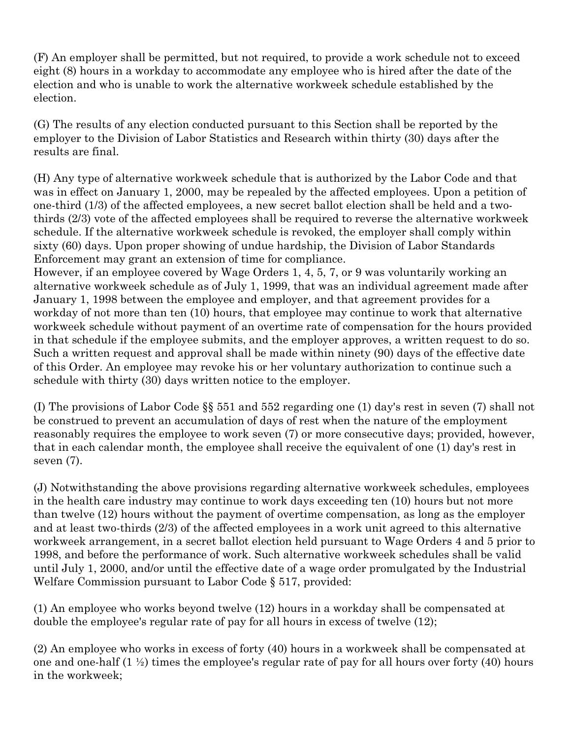(F) An employer shall be permitted, but not required, to provide a work schedule not to exceed eight (8) hours in a workday to accommodate any employee who is hired after the date of the election and who is unable to work the alternative workweek schedule established by the election.

(G) The results of any election conducted pursuant to this Section shall be reported by the employer to the Division of Labor Statistics and Research within thirty (30) days after the results are final.

(H) Any type of alternative workweek schedule that is authorized by the Labor Code and that was in effect on January 1, 2000, may be repealed by the affected employees. Upon a petition of one-third (1/3) of the affected employees, a new secret ballot election shall be held and a twothirds (2/3) vote of the affected employees shall be required to reverse the alternative workweek schedule. If the alternative workweek schedule is revoked, the employer shall comply within sixty (60) days. Upon proper showing of undue hardship, the Division of Labor Standards Enforcement may grant an extension of time for compliance.

However, if an employee covered by Wage Orders 1, 4, 5, 7, or 9 was voluntarily working an alternative workweek schedule as of July 1, 1999, that was an individual agreement made after January 1, 1998 between the employee and employer, and that agreement provides for a workday of not more than ten (10) hours, that employee may continue to work that alternative workweek schedule without payment of an overtime rate of compensation for the hours provided in that schedule if the employee submits, and the employer approves, a written request to do so. Such a written request and approval shall be made within ninety (90) days of the effective date of this Order. An employee may revoke his or her voluntary authorization to continue such a schedule with thirty (30) days written notice to the employer.

(I) The provisions of Labor Code §§ 551 and 552 regarding one (1) day's rest in seven (7) shall not be construed to prevent an accumulation of days of rest when the nature of the employment reasonably requires the employee to work seven (7) or more consecutive days; provided, however, that in each calendar month, the employee shall receive the equivalent of one (1) day's rest in seven (7).

(J) Notwithstanding the above provisions regarding alternative workweek schedules, employees in the health care industry may continue to work days exceeding ten (10) hours but not more than twelve (12) hours without the payment of overtime compensation, as long as the employer and at least two-thirds (2/3) of the affected employees in a work unit agreed to this alternative workweek arrangement, in a secret ballot election held pursuant to Wage Orders 4 and 5 prior to 1998, and before the performance of work. Such alternative workweek schedules shall be valid until July 1, 2000, and/or until the effective date of a wage order promulgated by the Industrial Welfare Commission pursuant to Labor Code § 517, provided:

(1) An employee who works beyond twelve (12) hours in a workday shall be compensated at double the employee's regular rate of pay for all hours in excess of twelve (12);

(2) An employee who works in excess of forty (40) hours in a workweek shall be compensated at one and one-half  $(1 \frac{1}{2})$  times the employee's regular rate of pay for all hours over forty (40) hours in the workweek;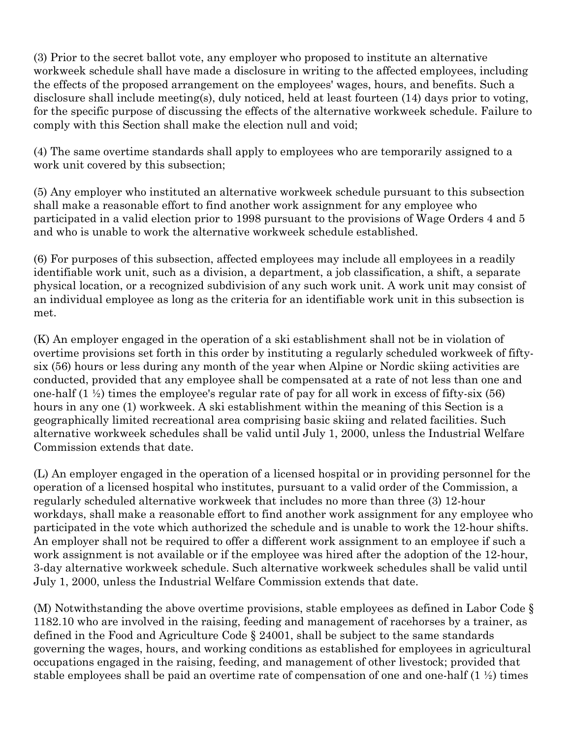(3) Prior to the secret ballot vote, any employer who proposed to institute an alternative workweek schedule shall have made a disclosure in writing to the affected employees, including the effects of the proposed arrangement on the employees' wages, hours, and benefits. Such a disclosure shall include meeting(s), duly noticed, held at least fourteen (14) days prior to voting, for the specific purpose of discussing the effects of the alternative workweek schedule. Failure to comply with this Section shall make the election null and void;

(4) The same overtime standards shall apply to employees who are temporarily assigned to a work unit covered by this subsection;

(5) Any employer who instituted an alternative workweek schedule pursuant to this subsection shall make a reasonable effort to find another work assignment for any employee who participated in a valid election prior to 1998 pursuant to the provisions of Wage Orders 4 and 5 and who is unable to work the alternative workweek schedule established.

(6) For purposes of this subsection, affected employees may include all employees in a readily identifiable work unit, such as a division, a department, a job classification, a shift, a separate physical location, or a recognized subdivision of any such work unit. A work unit may consist of an individual employee as long as the criteria for an identifiable work unit in this subsection is met.

(K) An employer engaged in the operation of a ski establishment shall not be in violation of overtime provisions set forth in this order by instituting a regularly scheduled workweek of fiftysix (56) hours or less during any month of the year when Alpine or Nordic skiing activities are conducted, provided that any employee shall be compensated at a rate of not less than one and one-half  $(1 \frac{1}{2})$  times the employee's regular rate of pay for all work in excess of fifty-six (56) hours in any one (1) workweek. A ski establishment within the meaning of this Section is a geographically limited recreational area comprising basic skiing and related facilities. Such alternative workweek schedules shall be valid until July 1, 2000, unless the Industrial Welfare Commission extends that date.

(L) An employer engaged in the operation of a licensed hospital or in providing personnel for the operation of a licensed hospital who institutes, pursuant to a valid order of the Commission, a regularly scheduled alternative workweek that includes no more than three (3) 12-hour workdays, shall make a reasonable effort to find another work assignment for any employee who participated in the vote which authorized the schedule and is unable to work the 12-hour shifts. An employer shall not be required to offer a different work assignment to an employee if such a work assignment is not available or if the employee was hired after the adoption of the 12-hour, 3-day alternative workweek schedule. Such alternative workweek schedules shall be valid until July 1, 2000, unless the Industrial Welfare Commission extends that date.

(M) Notwithstanding the above overtime provisions, stable employees as defined in Labor Code § 1182.10 who are involved in the raising, feeding and management of racehorses by a trainer, as defined in the Food and Agriculture Code § 24001, shall be subject to the same standards governing the wages, hours, and working conditions as established for employees in agricultural occupations engaged in the raising, feeding, and management of other livestock; provided that stable employees shall be paid an overtime rate of compensation of one and one-half  $(1 \frac{1}{2})$  times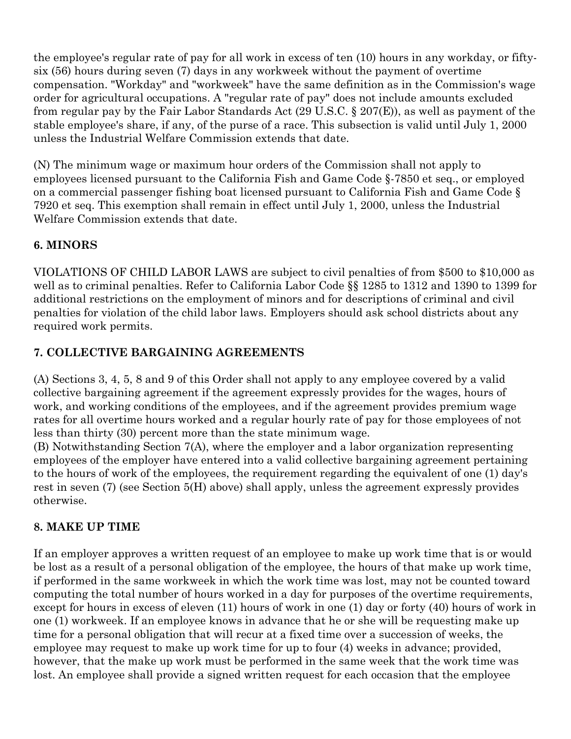the employee's regular rate of pay for all work in excess of ten (10) hours in any workday, or fiftysix (56) hours during seven (7) days in any workweek without the payment of overtime compensation. "Workday" and "workweek" have the same definition as in the Commission's wage order for agricultural occupations. A "regular rate of pay" does not include amounts excluded from regular pay by the Fair Labor Standards Act (29 U.S.C. § 207(E)), as well as payment of the stable employee's share, if any, of the purse of a race. This subsection is valid until July 1, 2000 unless the Industrial Welfare Commission extends that date.

(N) The minimum wage or maximum hour orders of the Commission shall not apply to employees licensed pursuant to the California Fish and Game Code §-7850 et seq., or employed on a commercial passenger fishing boat licensed pursuant to California Fish and Game Code § 7920 et seq. This exemption shall remain in effect until July 1, 2000, unless the Industrial Welfare Commission extends that date.

## **6. MINORS**

VIOLATIONS OF CHILD LABOR LAWS are subject to civil penalties of from \$500 to \$10,000 as well as to criminal penalties. Refer to California Labor Code §§ 1285 to 1312 and 1390 to 1399 for additional restrictions on the employment of minors and for descriptions of criminal and civil penalties for violation of the child labor laws. Employers should ask school districts about any required work permits.

## **7. COLLECTIVE BARGAINING AGREEMENTS**

(A) Sections 3, 4, 5, 8 and 9 of this Order shall not apply to any employee covered by a valid collective bargaining agreement if the agreement expressly provides for the wages, hours of work, and working conditions of the employees, and if the agreement provides premium wage rates for all overtime hours worked and a regular hourly rate of pay for those employees of not less than thirty (30) percent more than the state minimum wage.

(B) Notwithstanding Section 7(A), where the employer and a labor organization representing employees of the employer have entered into a valid collective bargaining agreement pertaining to the hours of work of the employees, the requirement regarding the equivalent of one (1) day's rest in seven (7) (see Section 5(H) above) shall apply, unless the agreement expressly provides otherwise.

## **8. MAKE UP TIME**

If an employer approves a written request of an employee to make up work time that is or would be lost as a result of a personal obligation of the employee, the hours of that make up work time, if performed in the same workweek in which the work time was lost, may not be counted toward computing the total number of hours worked in a day for purposes of the overtime requirements, except for hours in excess of eleven (11) hours of work in one (1) day or forty (40) hours of work in one (1) workweek. If an employee knows in advance that he or she will be requesting make up time for a personal obligation that will recur at a fixed time over a succession of weeks, the employee may request to make up work time for up to four (4) weeks in advance; provided, however, that the make up work must be performed in the same week that the work time was lost. An employee shall provide a signed written request for each occasion that the employee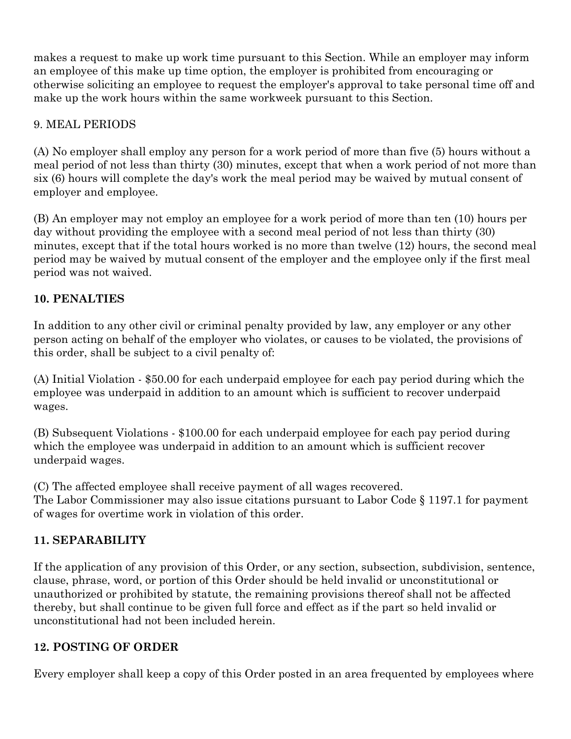makes a request to make up work time pursuant to this Section. While an employer may inform an employee of this make up time option, the employer is prohibited from encouraging or otherwise soliciting an employee to request the employer's approval to take personal time off and make up the work hours within the same workweek pursuant to this Section.

## 9. MEAL PERIODS

(A) No employer shall employ any person for a work period of more than five (5) hours without a meal period of not less than thirty (30) minutes, except that when a work period of not more than six (6) hours will complete the day's work the meal period may be waived by mutual consent of employer and employee.

(B) An employer may not employ an employee for a work period of more than ten (10) hours per day without providing the employee with a second meal period of not less than thirty (30) minutes, except that if the total hours worked is no more than twelve (12) hours, the second meal period may be waived by mutual consent of the employer and the employee only if the first meal period was not waived.

## **10. PENALTIES**

In addition to any other civil or criminal penalty provided by law, any employer or any other person acting on behalf of the employer who violates, or causes to be violated, the provisions of this order, shall be subject to a civil penalty of:

(A) Initial Violation - \$50.00 for each underpaid employee for each pay period during which the employee was underpaid in addition to an amount which is sufficient to recover underpaid wages.

(B) Subsequent Violations - \$100.00 for each underpaid employee for each pay period during which the employee was underpaid in addition to an amount which is sufficient recover underpaid wages.

(C) The affected employee shall receive payment of all wages recovered. The Labor Commissioner may also issue citations pursuant to Labor Code § 1197.1 for payment of wages for overtime work in violation of this order.

# **11. SEPARABILITY**

If the application of any provision of this Order, or any section, subsection, subdivision, sentence, clause, phrase, word, or portion of this Order should be held invalid or unconstitutional or unauthorized or prohibited by statute, the remaining provisions thereof shall not be affected thereby, but shall continue to be given full force and effect as if the part so held invalid or unconstitutional had not been included herein.

# **12. POSTING OF ORDER**

Every employer shall keep a copy of this Order posted in an area frequented by employees where